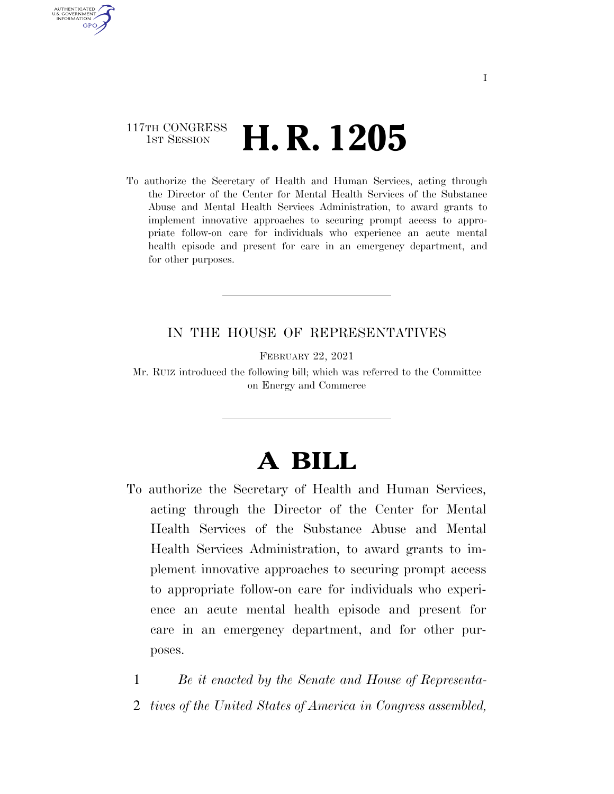## 117TH CONGRESS **1st Session H. R. 1205**

AUTHENTICATED U.S. GOVERNMENT **GPO** 

> To authorize the Secretary of Health and Human Services, acting through the Director of the Center for Mental Health Services of the Substance Abuse and Mental Health Services Administration, to award grants to implement innovative approaches to securing prompt access to appropriate follow-on care for individuals who experience an acute mental health episode and present for care in an emergency department, and for other purposes.

### IN THE HOUSE OF REPRESENTATIVES

FEBRUARY 22, 2021

Mr. RUIZ introduced the following bill; which was referred to the Committee on Energy and Commerce

# **A BILL**

To authorize the Secretary of Health and Human Services, acting through the Director of the Center for Mental Health Services of the Substance Abuse and Mental Health Services Administration, to award grants to implement innovative approaches to securing prompt access to appropriate follow-on care for individuals who experience an acute mental health episode and present for care in an emergency department, and for other purposes.

1 *Be it enacted by the Senate and House of Representa-*2 *tives of the United States of America in Congress assembled,*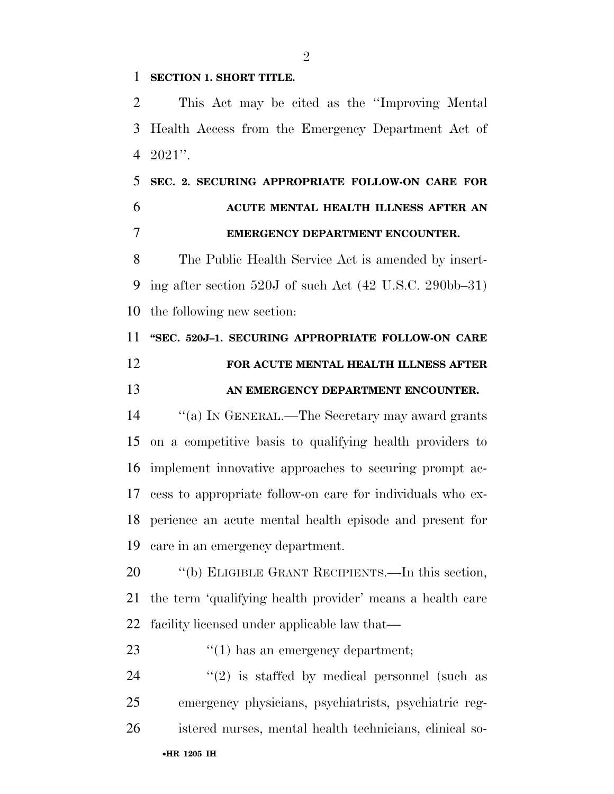#### **SECTION 1. SHORT TITLE.**

 This Act may be cited as the ''Improving Mental Health Access from the Emergency Department Act of 2021''.

## **SEC. 2. SECURING APPROPRIATE FOLLOW-ON CARE FOR ACUTE MENTAL HEALTH ILLNESS AFTER AN EMERGENCY DEPARTMENT ENCOUNTER.**

 The Public Health Service Act is amended by insert- ing after section 520J of such Act (42 U.S.C. 290bb–31) the following new section:

# **''SEC. 520J–1. SECURING APPROPRIATE FOLLOW-ON CARE FOR ACUTE MENTAL HEALTH ILLNESS AFTER**

### **AN EMERGENCY DEPARTMENT ENCOUNTER.**

 ''(a) IN GENERAL.—The Secretary may award grants on a competitive basis to qualifying health providers to implement innovative approaches to securing prompt ac- cess to appropriate follow-on care for individuals who ex- perience an acute mental health episode and present for care in an emergency department.

 ''(b) ELIGIBLE GRANT RECIPIENTS.—In this section, the term 'qualifying health provider' means a health care facility licensed under applicable law that—

### 23  $\frac{1}{2}$  (1) has an emergency department;

24  $(2)$  is staffed by medical personnel (such as emergency physicians, psychiatrists, psychiatric reg-istered nurses, mental health technicians, clinical so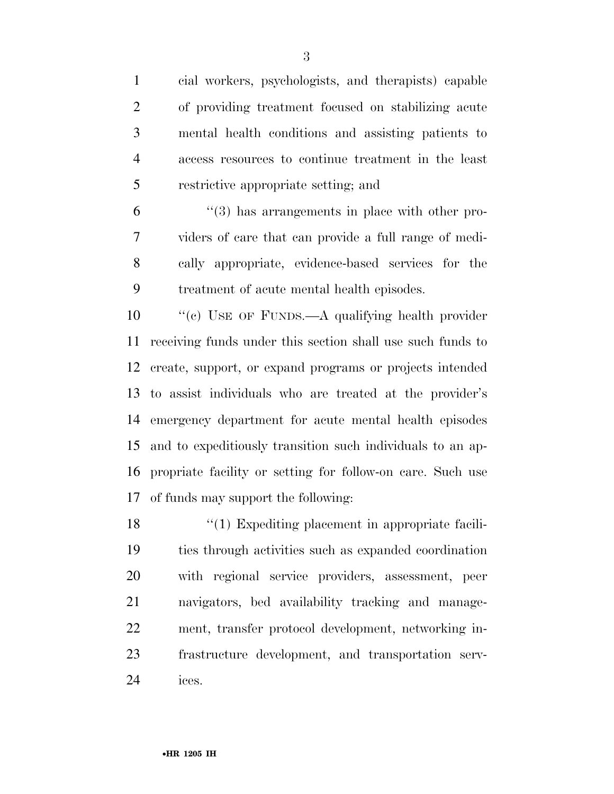cial workers, psychologists, and therapists) capable of providing treatment focused on stabilizing acute mental health conditions and assisting patients to access resources to continue treatment in the least restrictive appropriate setting; and

 ''(3) has arrangements in place with other pro- viders of care that can provide a full range of medi- cally appropriate, evidence-based services for the treatment of acute mental health episodes.

10 "(c) USE OF FUNDS.—A qualifying health provider receiving funds under this section shall use such funds to create, support, or expand programs or projects intended to assist individuals who are treated at the provider's emergency department for acute mental health episodes and to expeditiously transition such individuals to an ap- propriate facility or setting for follow-on care. Such use of funds may support the following:

18 ''(1) Expediting placement in appropriate facili- ties through activities such as expanded coordination with regional service providers, assessment, peer navigators, bed availability tracking and manage- ment, transfer protocol development, networking in- frastructure development, and transportation serv-ices.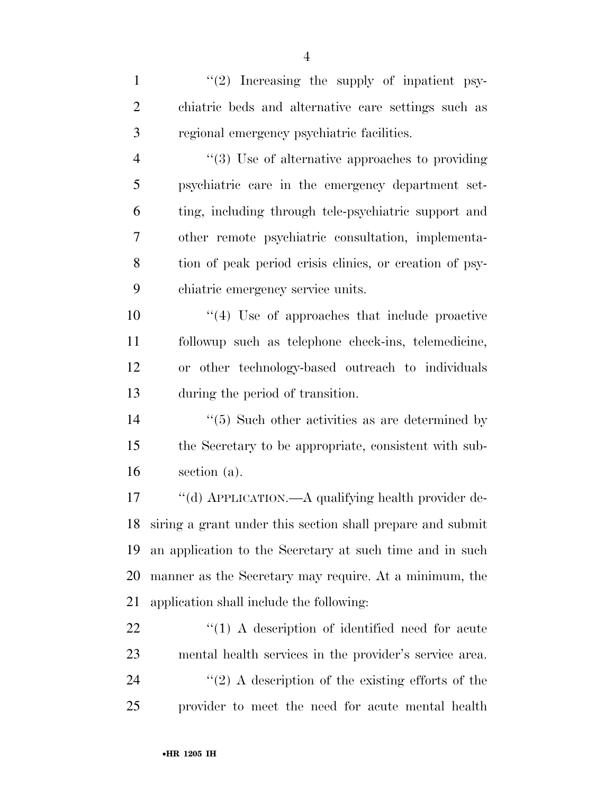1  $\frac{1}{2}$  Increasing the supply of inpatient psy- chiatric beds and alternative care settings such as regional emergency psychiatric facilities.

 $\frac{4}{3}$  Use of alternative approaches to providing psychiatric care in the emergency department set- ting, including through tele-psychiatric support and other remote psychiatric consultation, implementa- tion of peak period crisis clinics, or creation of psy-chiatric emergency service units.

 ''(4) Use of approaches that include proactive followup such as telephone check-ins, telemedicine, or other technology-based outreach to individuals during the period of transition.

14 ''(5) Such other activities as are determined by the Secretary to be appropriate, consistent with sub-section (a).

 ''(d) APPLICATION.—A qualifying health provider de- siring a grant under this section shall prepare and submit an application to the Secretary at such time and in such manner as the Secretary may require. At a minimum, the application shall include the following:

 $\frac{1}{2}$  (1) A description of identified need for acute mental health services in the provider's service area.  $(2)$  A description of the existing efforts of the provider to meet the need for acute mental health